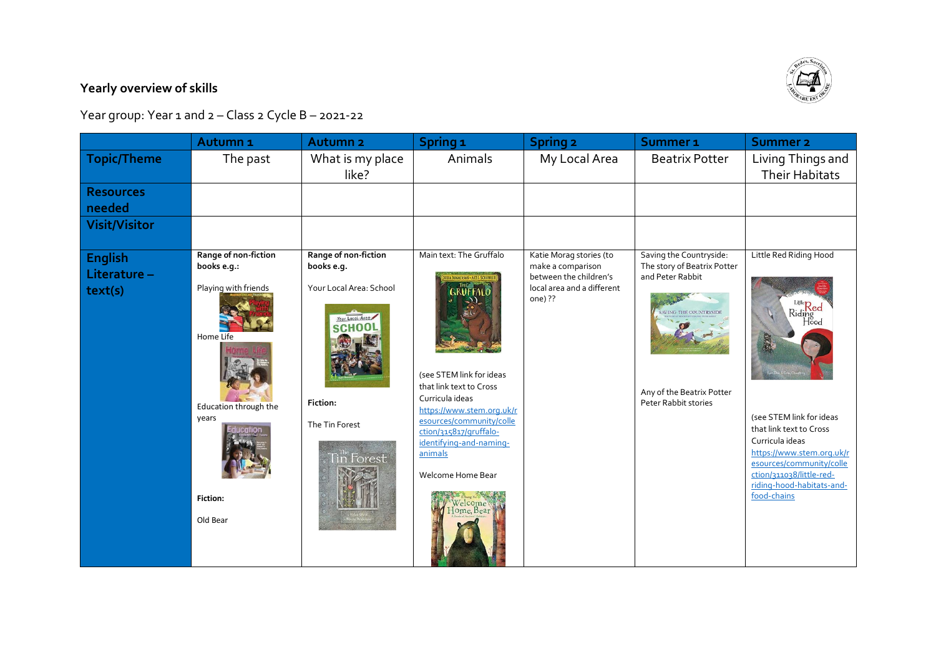## **Yearly overview of skills**

Year group: Year 1 and 2 – Class 2 Cycle B – 2021-22

|                                   | Autumn <sub>1</sub>                                                                                                                       | <b>Autumn<sub>2</sub></b>                                                                                                                    | Spring <sub>1</sub>                                                                                                                                                                                                                                                                                                              | <b>Spring 2</b>                                                                                                 | Summer <sub>1</sub>                                                                                                                                     | Summer <sub>2</sub>                                                                                                                                                                                                                                              |
|-----------------------------------|-------------------------------------------------------------------------------------------------------------------------------------------|----------------------------------------------------------------------------------------------------------------------------------------------|----------------------------------------------------------------------------------------------------------------------------------------------------------------------------------------------------------------------------------------------------------------------------------------------------------------------------------|-----------------------------------------------------------------------------------------------------------------|---------------------------------------------------------------------------------------------------------------------------------------------------------|------------------------------------------------------------------------------------------------------------------------------------------------------------------------------------------------------------------------------------------------------------------|
| Topic/Theme                       | The past                                                                                                                                  | What is my place<br>like?                                                                                                                    | Animals                                                                                                                                                                                                                                                                                                                          | My Local Area                                                                                                   | <b>Beatrix Potter</b>                                                                                                                                   | Living Things and<br><b>Their Habitats</b>                                                                                                                                                                                                                       |
| <b>Resources</b><br>needed        |                                                                                                                                           |                                                                                                                                              |                                                                                                                                                                                                                                                                                                                                  |                                                                                                                 |                                                                                                                                                         |                                                                                                                                                                                                                                                                  |
| <b>Visit/Visitor</b>              |                                                                                                                                           |                                                                                                                                              |                                                                                                                                                                                                                                                                                                                                  |                                                                                                                 |                                                                                                                                                         |                                                                                                                                                                                                                                                                  |
| English<br>Literature-<br>text(s) | Range of non-fiction<br>books e.g.:<br>Playing with friends<br>Home Life<br>Education through the<br>years<br><b>Fiction:</b><br>Old Bear | Range of non-fiction<br>books e.g.<br>Your Local Area: School<br>Your Local Area<br><b>SCHOOL</b><br>Fiction:<br>The Tin Forest<br>in Forest | Main text: The Gruffalo<br><b>1A BONALDSON - AYEL SCHEFF</b><br><b>GRUFFALD</b><br>(see STEM link for ideas<br>that link text to Cross<br>Curricula ideas<br>https://www.stem.org.uk/r<br>esources/community/colle<br>ction/315817/gruffalo-<br>identifying-and-naming-<br>animals<br>Welcome Home Bear<br>Welcome<br>Home, Bear | Katie Morag stories (to<br>make a comparison<br>between the children's<br>local area and a different<br>one) ?? | Saving the Countryside:<br>The story of Beatrix Potter<br>and Peter Rabbit<br>AVING THE COUNTRYSIC<br>Any of the Beatrix Potter<br>Peter Rabbit stories | Little Red Riding Hood<br>Lille Red<br>Riding<br>Hood<br>(see STEM link for ideas<br>that link text to Cross<br>Curricula ideas<br>https://www.stem.org.uk/r<br>esources/community/colle<br>ction/311038/little-red-<br>riding-hood-habitats-and-<br>food-chains |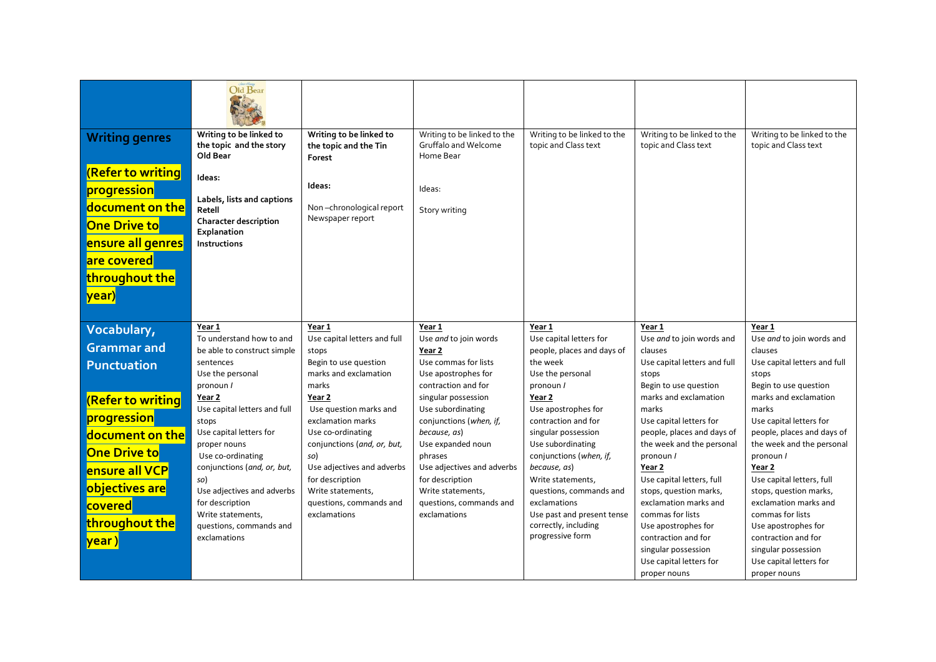|                                            | Old Bear                                                                 |                                                            |                                                                  |                                                     |                                                     |                                                     |
|--------------------------------------------|--------------------------------------------------------------------------|------------------------------------------------------------|------------------------------------------------------------------|-----------------------------------------------------|-----------------------------------------------------|-----------------------------------------------------|
| <b>Writing genres</b><br>(Refer to writing | Writing to be linked to<br>the topic and the story<br>Old Bear<br>Ideas: | Writing to be linked to<br>the topic and the Tin<br>Forest | Writing to be linked to the<br>Gruffalo and Welcome<br>Home Bear | Writing to be linked to the<br>topic and Class text | Writing to be linked to the<br>topic and Class text | Writing to be linked to the<br>topic and Class text |
| progression                                | Labels, lists and captions                                               | Ideas:                                                     | Ideas:                                                           |                                                     |                                                     |                                                     |
| document on the<br><b>One Drive to</b>     | Retell<br><b>Character description</b><br>Explanation                    | Non-chronological report<br>Newspaper report               | Story writing                                                    |                                                     |                                                     |                                                     |
| ensure all genres<br>are covered           | Instructions                                                             |                                                            |                                                                  |                                                     |                                                     |                                                     |
| throughout the                             |                                                                          |                                                            |                                                                  |                                                     |                                                     |                                                     |
| <mark> year)</mark>                        |                                                                          |                                                            |                                                                  |                                                     |                                                     |                                                     |
| Vocabulary,                                | Year 1                                                                   | Year 1                                                     | Year 1                                                           | Year 1                                              | Year 1                                              | Year 1                                              |
| <b>Grammar</b> and                         | To understand how to and                                                 | Use capital letters and full                               | Use and to join words                                            | Use capital letters for                             | Use and to join words and                           | Use and to join words and                           |
|                                            | be able to construct simple                                              | stops<br>Begin to use question                             | Year 2<br>Use commas for lists                                   | people, places and days of<br>the week              | clauses                                             | clauses<br>Use capital letters and full             |
| <b>Punctuation</b>                         | sentences<br>Use the personal                                            | marks and exclamation                                      | Use apostrophes for                                              | Use the personal                                    | Use capital letters and full<br>stops               | stops                                               |
|                                            | pronoun /                                                                | marks                                                      | contraction and for                                              | pronoun /                                           | Begin to use question                               | Begin to use question                               |
| (Refer to writing                          | Year 2                                                                   | Year 2                                                     | singular possession                                              | Year 2                                              | marks and exclamation                               | marks and exclamation                               |
|                                            | Use capital letters and full                                             | Use question marks and                                     | Use subordinating                                                | Use apostrophes for                                 | marks                                               | marks                                               |
| <mark>progression</mark>                   | stops                                                                    | exclamation marks                                          | conjunctions (when, if,                                          | contraction and for                                 | Use capital letters for                             | Use capital letters for                             |
| document on the                            | Use capital letters for                                                  | Use co-ordinating                                          | because, as)                                                     | singular possession                                 | people, places and days of                          | people, places and days of                          |
| <b>One Drive to</b>                        | proper nouns                                                             | conjunctions (and, or, but,                                | Use expanded noun                                                | Use subordinating                                   | the week and the personal                           | the week and the personal                           |
|                                            | Use co-ordinating                                                        | so)                                                        | phrases                                                          | conjunctions (when, if,                             | pronoun /                                           | pronoun /                                           |
| ensure all VCP                             | conjunctions (and, or, but,                                              | Use adjectives and adverbs<br>for description              | Use adjectives and adverbs<br>for description                    | because, as)<br>Write statements,                   | Year 2<br>Use capital letters, full                 | Year 2<br>Use capital letters, full                 |
| objectives are                             | so)<br>Use adjectives and adverbs                                        | Write statements,                                          | Write statements,                                                | questions, commands and                             | stops, question marks,                              | stops, question marks,                              |
| covered                                    | for description                                                          | questions, commands and                                    | questions, commands and                                          | exclamations                                        | exclamation marks and                               | exclamation marks and                               |
|                                            | Write statements,                                                        | exclamations                                               | exclamations                                                     | Use past and present tense                          | commas for lists                                    | commas for lists                                    |
| throughout the                             | questions, commands and                                                  |                                                            |                                                                  | correctly, including                                | Use apostrophes for                                 | Use apostrophes for                                 |
| <mark>lyear )</mark>                       | exclamations                                                             |                                                            |                                                                  | progressive form                                    | contraction and for                                 | contraction and for                                 |
|                                            |                                                                          |                                                            |                                                                  |                                                     | singular possession                                 | singular possession                                 |
|                                            |                                                                          |                                                            |                                                                  |                                                     | Use capital letters for                             | Use capital letters for                             |
|                                            |                                                                          |                                                            |                                                                  |                                                     | proper nouns                                        | proper nouns                                        |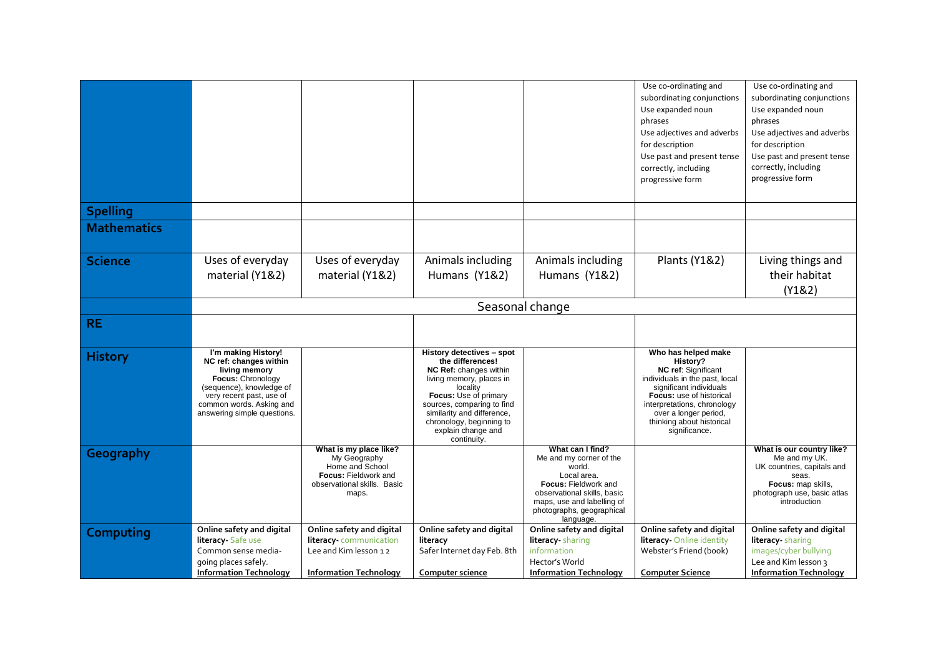|                    |                                                                                                                                                                                                        |                                                                                                                           |                                                                                                                                                                                                                                                                       |                                                                                                                                                                                                            | Use co-ordinating and<br>subordinating conjunctions<br>Use expanded noun<br>phrases<br>Use adjectives and adverbs<br>for description<br>Use past and present tense                                                                                    | Use co-ordinating and<br>subordinating conjunctions<br>Use expanded noun<br>phrases<br>Use adjectives and adverbs<br>for description<br>Use past and present tense |  |
|--------------------|--------------------------------------------------------------------------------------------------------------------------------------------------------------------------------------------------------|---------------------------------------------------------------------------------------------------------------------------|-----------------------------------------------------------------------------------------------------------------------------------------------------------------------------------------------------------------------------------------------------------------------|------------------------------------------------------------------------------------------------------------------------------------------------------------------------------------------------------------|-------------------------------------------------------------------------------------------------------------------------------------------------------------------------------------------------------------------------------------------------------|--------------------------------------------------------------------------------------------------------------------------------------------------------------------|--|
|                    |                                                                                                                                                                                                        |                                                                                                                           |                                                                                                                                                                                                                                                                       |                                                                                                                                                                                                            | correctly, including<br>progressive form                                                                                                                                                                                                              | correctly, including<br>progressive form                                                                                                                           |  |
| <b>Spelling</b>    |                                                                                                                                                                                                        |                                                                                                                           |                                                                                                                                                                                                                                                                       |                                                                                                                                                                                                            |                                                                                                                                                                                                                                                       |                                                                                                                                                                    |  |
| <b>Mathematics</b> |                                                                                                                                                                                                        |                                                                                                                           |                                                                                                                                                                                                                                                                       |                                                                                                                                                                                                            |                                                                                                                                                                                                                                                       |                                                                                                                                                                    |  |
| <b>Science</b>     | Uses of everyday<br>material (Y1&2)                                                                                                                                                                    | Uses of everyday<br>material (Y1&2)                                                                                       | Animals including<br>Humans (Y1&2)                                                                                                                                                                                                                                    | Animals including<br>Humans (Y1&2)                                                                                                                                                                         | Plants (Y1&2)                                                                                                                                                                                                                                         | Living things and<br>their habitat<br>(Y182)                                                                                                                       |  |
|                    | Seasonal change                                                                                                                                                                                        |                                                                                                                           |                                                                                                                                                                                                                                                                       |                                                                                                                                                                                                            |                                                                                                                                                                                                                                                       |                                                                                                                                                                    |  |
| <b>RE</b>          |                                                                                                                                                                                                        |                                                                                                                           |                                                                                                                                                                                                                                                                       |                                                                                                                                                                                                            |                                                                                                                                                                                                                                                       |                                                                                                                                                                    |  |
| <b>History</b>     | I'm making History!<br>NC ref: changes within<br>living memory<br>Focus: Chronology<br>(sequence), knowledge of<br>very recent past, use of<br>common words. Asking and<br>answering simple questions. |                                                                                                                           | History detectives - spot<br>the differences!<br>NC Ref: changes within<br>living memory, places in<br>locality<br>Focus: Use of primary<br>sources, comparing to find<br>similarity and difference,<br>chronology, beginning to<br>explain change and<br>continuity. |                                                                                                                                                                                                            | Who has helped make<br>History?<br>NC ref: Significant<br>individuals in the past, local<br>significant individuals<br>Focus: use of historical<br>interpretations, chronology<br>over a longer period,<br>thinking about historical<br>significance. |                                                                                                                                                                    |  |
| Geography          |                                                                                                                                                                                                        | What is my place like?<br>My Geography<br>Home and School<br>Focus: Fieldwork and<br>observational skills. Basic<br>maps. |                                                                                                                                                                                                                                                                       | What can I find?<br>Me and my corner of the<br>world.<br>Local area.<br><b>Focus: Fieldwork and</b><br>observational skills, basic<br>maps, use and labelling of<br>photographs, geographical<br>language. |                                                                                                                                                                                                                                                       | What is our country like?<br>Me and my UK.<br>UK countries, capitals and<br>seas.<br>Focus: map skills,<br>photograph use, basic atlas<br>introduction             |  |
| Computing          | Online safety and digital<br>literacy Safe use<br>Common sense media-<br>going places safely.<br><b>Information Technology</b>                                                                         | Online safety and digital<br>literacy-communication<br>Lee and Kim lesson 12<br><b>Information Technology</b>             | Online safety and digital<br>literacy<br>Safer Internet day Feb. 8th<br>Computer science                                                                                                                                                                              | Online safety and digital<br>literacy sharing<br>information<br>Hector's World<br><b>Information Technology</b>                                                                                            | Online safety and digital<br>literacy-Online identity<br>Webster's Friend (book)<br><b>Computer Science</b>                                                                                                                                           | Online safety and digital<br>literacy sharing<br>images/cyber bullying<br>Lee and Kim lesson 3<br><b>Information Technology</b>                                    |  |